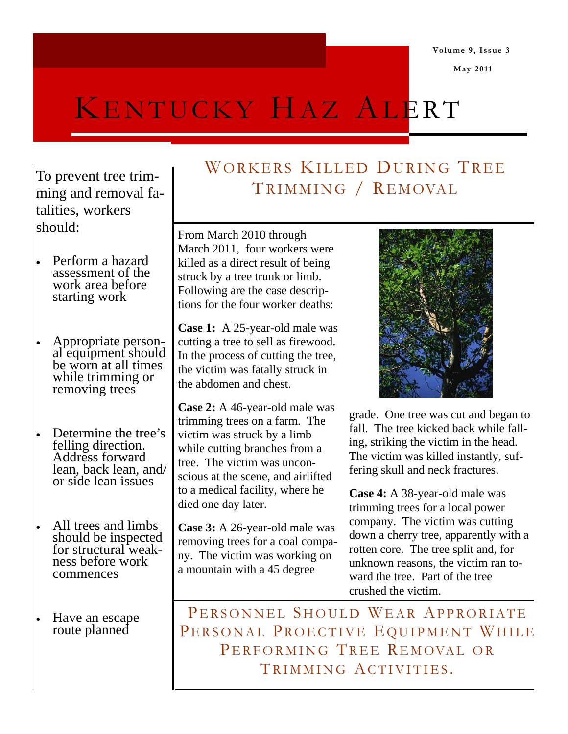**May 2011** 

# KENTUCKY HAZ ALERT

To prevent tree trimming and removal fatalities, workers should:

- Perform a hazard assessment of the work area before starting work
- Appropriate personal equipment should be worn at all times while trimming or removing trees
- Determine the tree's felling direction. Address forward lean, back lean, and/ or side lean issues
- All trees and limbs should be inspected for structural weakness before work commences
- Have an escape route planned

## WORKERS KILLED DURING TREE TRIMMING / REMOVAL

From March 2010 through March 2011, four workers were killed as a direct result of being struck by a tree trunk or limb. Following are the case descriptions for the four worker deaths:

**Case 1:** A 25-year-old male was cutting a tree to sell as firewood. In the process of cutting the tree, the victim was fatally struck in the abdomen and chest.

**Case 2:** A 46-year-old male was trimming trees on a farm. The victim was struck by a limb while cutting branches from a tree. The victim was unconscious at the scene, and airlifted to a medical facility, where he died one day later.

**Case 3:** A 26-year-old male was removing trees for a coal company. The victim was working on a mountain with a 45 degree



grade. One tree was cut and began to fall. The tree kicked back while falling, striking the victim in the head. The victim was killed instantly, suffering skull and neck fractures.

**Case 4:** A 38-year-old male was trimming trees for a local power company. The victim was cutting down a cherry tree, apparently with a rotten core. The tree split and, for unknown reasons, the victim ran toward the tree. Part of the tree crushed the victim.

PERSONNEL SHOULD WEAR APPRORIATE PERSONAL PROECTIVE EQUIPMENT WHILE PERFORMING TREE REMOVAL OR TRIMMING ACTIVITIES.